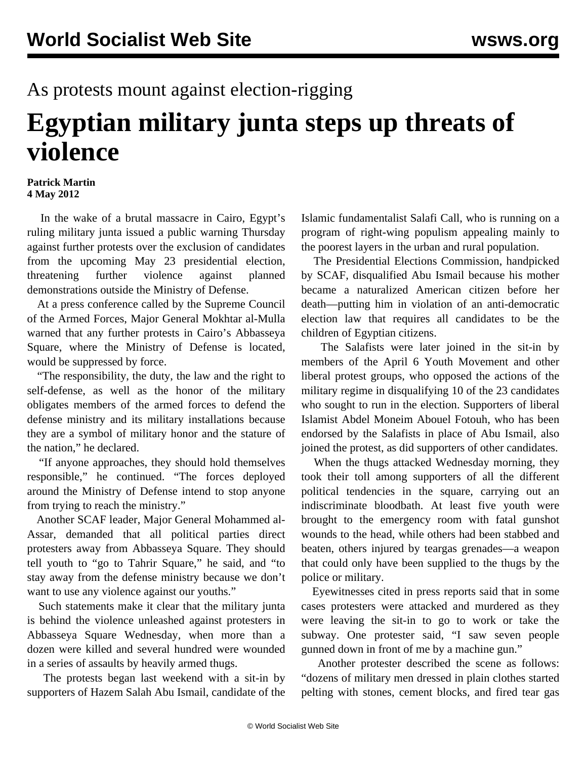## As protests mount against election-rigging

## **Egyptian military junta steps up threats of violence**

## **Patrick Martin 4 May 2012**

 In the wake of a brutal massacre in Cairo, Egypt's ruling military junta issued a public warning Thursday against further protests over the exclusion of candidates from the upcoming May 23 presidential election, threatening further violence against planned demonstrations outside the Ministry of Defense.

 At a press conference called by the Supreme Council of the Armed Forces, Major General Mokhtar al-Mulla warned that any further protests in Cairo's Abbasseya Square, where the Ministry of Defense is located, would be suppressed by force.

 "The responsibility, the duty, the law and the right to self-defense, as well as the honor of the military obligates members of the armed forces to defend the defense ministry and its military installations because they are a symbol of military honor and the stature of the nation," he declared.

 "If anyone approaches, they should hold themselves responsible," he continued. "The forces deployed around the Ministry of Defense intend to stop anyone from trying to reach the ministry."

 Another SCAF leader, Major General Mohammed al-Assar, demanded that all political parties direct protesters away from Abbasseya Square. They should tell youth to "go to Tahrir Square," he said, and "to stay away from the defense ministry because we don't want to use any violence against our youths."

 Such statements make it clear that the military junta is behind the violence unleashed against protesters in Abbasseya Square Wednesday, when more than a dozen were killed and several hundred were wounded in a series of assaults by heavily armed thugs.

 The protests began last weekend with a sit-in by supporters of Hazem Salah Abu Ismail, candidate of the Islamic fundamentalist Salafi Call, who is running on a program of right-wing populism appealing mainly to the poorest layers in the urban and rural population.

 The Presidential Elections Commission, handpicked by SCAF, disqualified Abu Ismail because his mother became a naturalized American citizen before her death—putting him in violation of an anti-democratic election law that requires all candidates to be the children of Egyptian citizens.

 The Salafists were later joined in the sit-in by members of the April 6 Youth Movement and other liberal protest groups, who opposed the actions of the military regime in disqualifying 10 of the 23 candidates who sought to run in the election. Supporters of liberal Islamist Abdel Moneim Abouel Fotouh, who has been endorsed by the Salafists in place of Abu Ismail, also joined the protest, as did supporters of other candidates.

 When the thugs attacked Wednesday morning, they took their toll among supporters of all the different political tendencies in the square, carrying out an indiscriminate bloodbath. At least five youth were brought to the emergency room with fatal gunshot wounds to the head, while others had been stabbed and beaten, others injured by teargas grenades—a weapon that could only have been supplied to the thugs by the police or military.

 Eyewitnesses cited in press reports said that in some cases protesters were attacked and murdered as they were leaving the sit-in to go to work or take the subway. One protester said, "I saw seven people gunned down in front of me by a machine gun."

 Another protester described the scene as follows: "dozens of military men dressed in plain clothes started pelting with stones, cement blocks, and fired tear gas